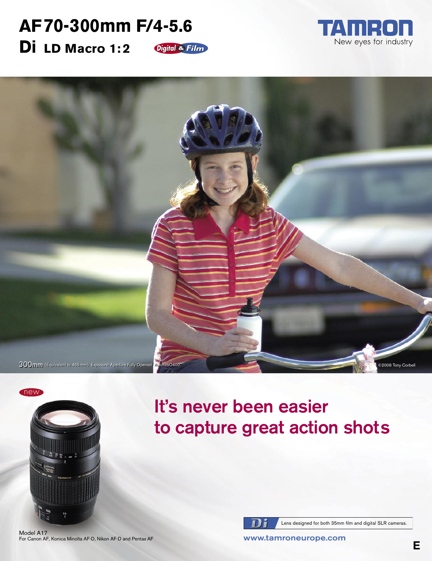## **AF70-300mm F/4-5.6 Di LD Macro 1: 2** Digital & Film







It's never been easier to capture great action shots



Lens designed for both 35mm film and digital SLR cameras.

Model A17 For Canon AF, Konica Minolta AF-D, Nikon AF-D and Pentax AF